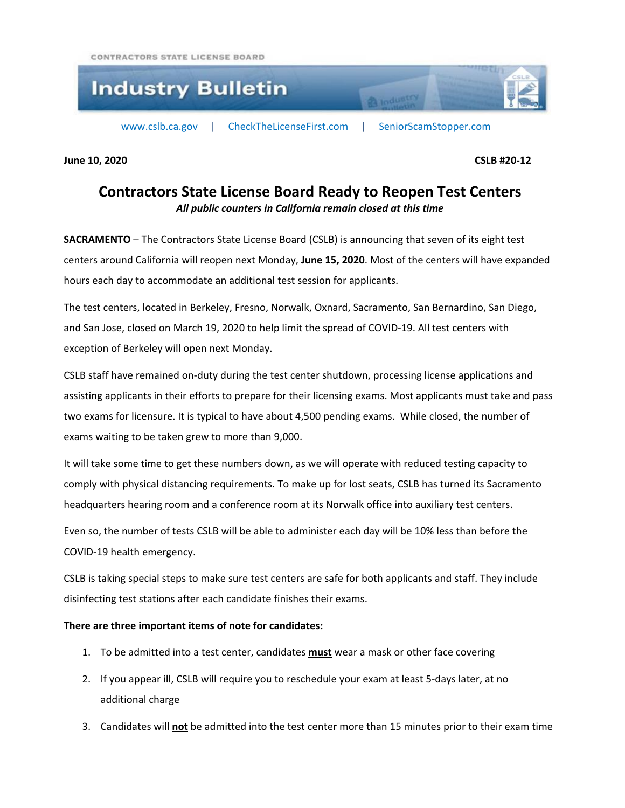CONTRACTORS STATE LICENSE BOARD



**June 10, 2020 CSLB #20-12**

## **Contractors State License Board Ready to Reopen Test Centers** *All public counters in California remain closed at this time*

**SACRAMENTO** – The Contractors State License Board (CSLB) is announcing that seven of its eight test centers around California will reopen next Monday, **June 15, 2020**. Most of the centers will have expanded hours each day to accommodate an additional test session for applicants.

The test centers, located in Berkeley, Fresno, Norwalk, Oxnard, Sacramento, San Bernardino, San Diego, and San Jose, closed on March 19, 2020 to help limit the spread of COVID-19. All test centers with exception of Berkeley will open next Monday.

CSLB staff have remained on-duty during the test center shutdown, processing license applications and assisting applicants in their efforts to prepare for their licensing exams. Most applicants must take and pass two exams for licensure. It is typical to have about 4,500 pending exams. While closed, the number of exams waiting to be taken grew to more than 9,000.

It will take some time to get these numbers down, as we will operate with reduced testing capacity to comply with physical distancing requirements. To make up for lost seats, CSLB has turned its Sacramento headquarters hearing room and a conference room at its Norwalk office into auxiliary test centers.

Even so, the number of tests CSLB will be able to administer each day will be 10% less than before the COVID-19 health emergency.

CSLB is taking special steps to make sure test centers are safe for both applicants and staff. They include disinfecting test stations after each candidate finishes their exams.

## **There are three important items of note for candidates:**

- 1. To be admitted into a test center, candidates **must** wear a mask or other face covering
- 2. If you appear ill, CSLB will require you to reschedule your exam at least 5-days later, at no additional charge
- 3. Candidates will **not** be admitted into the test center more than 15 minutes prior to their exam time